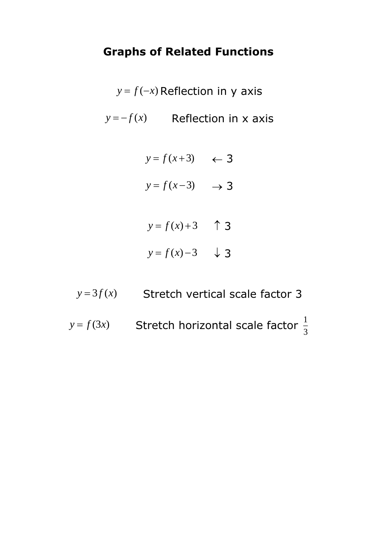## **Graphs of Related Functions**

 $y = f(-x)$  Reflection in y axis  $y = -f(x)$  Reflection in x axis

$$
y = f(x+3) \quad \leftarrow \mathbf{3}
$$

$$
y = f(x-3) \longrightarrow 3
$$

- $y = f(x) + 3$  1 3  $y = f(x) - 3$   $\downarrow$  3
- $y = 3f(x)$  Stretch vertical scale factor 3
- $y = f(3x)$  Stretch horizontal scale factor  $\frac{1}{3}$ 1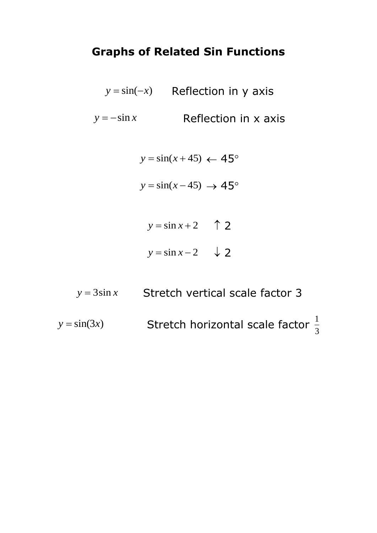## **Graphs of Related Sin Functions**

*y* = sin(−*x*) Reflection in y axis  $y = -\sin x$ Reflection in x axis

$$
y = \sin(x + 45) \leftarrow 45^{\circ}
$$

$$
y = \sin(x - 45) \rightarrow 45^{\circ}
$$

- $y = \sin x + 2$   $\uparrow$  2  $y = \sin x - 2 \quad \downarrow$  2
- *y* <sup>=</sup> 3sin *<sup>x</sup>* Stretch vertical scale factor 3

 $y = sin(3x)$ Stretch horizontal scale factor  $\frac{1}{3}$ 1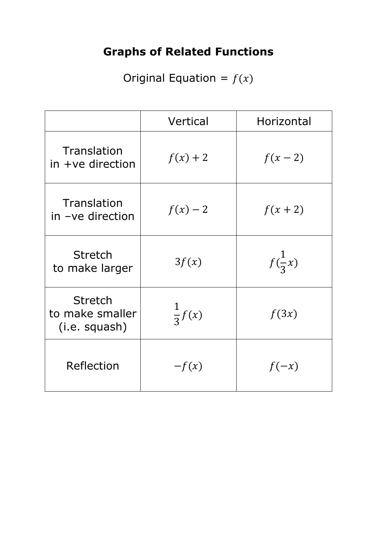## **Graphs of Related Functions**

Original Equation =  $f(x)$ 

|                                                    | Vertical          | Horizontal        |
|----------------------------------------------------|-------------------|-------------------|
| Translation<br>$in +ve$ direction                  | $f(x) + 2$        | $f(x-2)$          |
| Translation<br>in -ve direction                    | $f(x)-2$          | $f(x+2)$          |
| <b>Stretch</b><br>to make larger                   | 3f(x)             | $f(\frac{1}{3}x)$ |
| <b>Stretch</b><br>to make smaller<br>(i.e. squash) | $\frac{1}{3}f(x)$ | f(3x)             |
| Reflection                                         | $-f(x)$           | $f(-x)$           |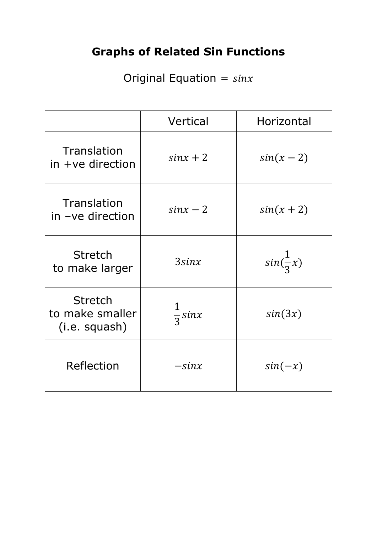## **Graphs of Related Sin Functions**

Original Equation =  $sinx$ 

|                                                    | Vertical         | Horizontal          |
|----------------------------------------------------|------------------|---------------------|
| Translation<br>$in +ve$ direction                  | $sinx + 2$       | $sin(x-2)$          |
| Translation<br>in -ve direction                    | $sinx - 2$       | $sin(x+2)$          |
| <b>Stretch</b><br>to make larger                   | $3\sin x$        | $sin(\frac{1}{3}x)$ |
| <b>Stretch</b><br>to make smaller<br>(i.e. squash) | $rac{1}{3}$ sinx | sin(3x)             |
| <b>Reflection</b>                                  | $-sinx$          | $sin(-x)$           |